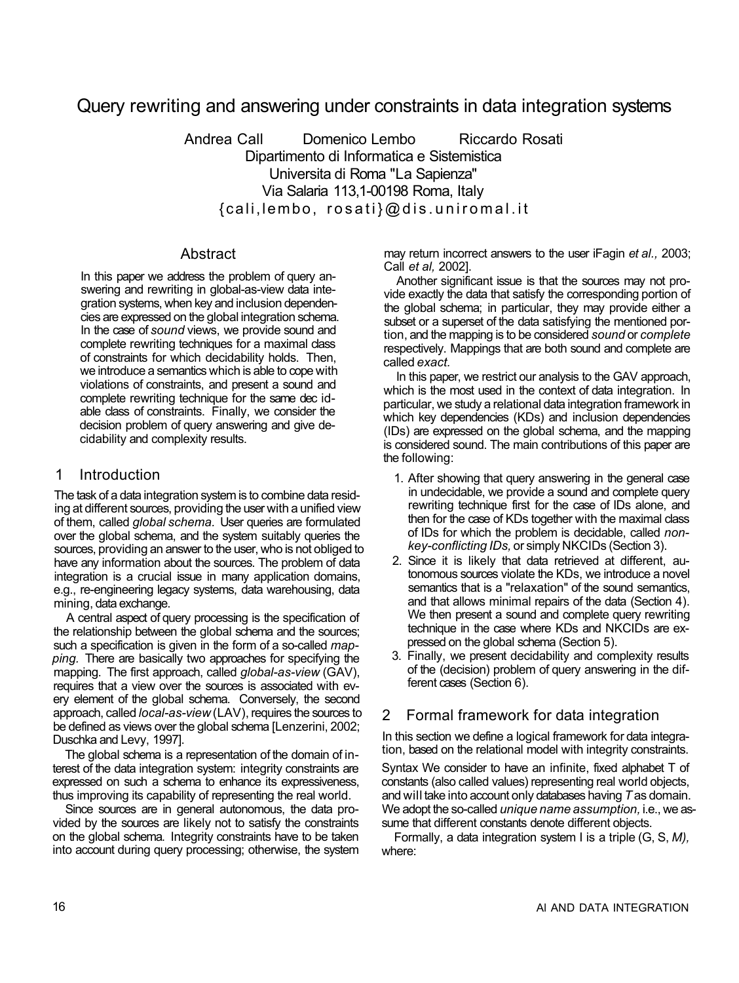# Query rewriting and answering under constraints in data integration systems

Andrea Call Domenico Lembo Riccardo Rosati Dipartimento di Informatica e Sistemistica Universita di Roma "La Sapienza" Via Salaria 113,1-00198 Roma, Italy {cali,lembo, rosati}@dis.uniromal.i t

## Abstract

In this paper we address the problem of query answering and rewriting in global-as-view data integration systems, when key and inclusion dependencies are expressed on the global integration schema. In the case of *sound* views, we provide sound and complete rewriting techniques for a maximal class of constraints for which decidability holds. Then, we introduce a semantics which is able to cope with violations of constraints, and present a sound and complete rewriting technique for the same dec idable class of constraints. Finally, we consider the decision problem of query answering and give decidability and complexity results.

# 1 Introduction

The task of a data integration system is to combine data residing at different sources, providing the user with a unified view of them, called *global schema.* User queries are formulated over the global schema, and the system suitably queries the sources, providing an answer to the user, who is not obliged to have any information about the sources. The problem of data integration is a crucial issue in many application domains, e.g., re-engineering legacy systems, data warehousing, data mining, data exchange.

A central aspect of query processing is the specification of the relationship between the global schema and the sources; such a specification is given in the form of a so-called *mapping.* There are basically two approaches for specifying the mapping. The first approach, called *global-as-view* (GAV), requires that a view over the sources is associated with every element of the global schema. Conversely, the second approach, called *local-as-view* (LAV), requires the sources to be defined as views over the global schema [Lenzerini, 2002; Duschka and Levy, 1997].

The global schema is a representation of the domain of interest of the data integration system: integrity constraints are expressed on such a schema to enhance its expressiveness, thus improving its capability of representing the real world.

Since sources are in general autonomous, the data provided by the sources are likely not to satisfy the constraints on the global schema. Integrity constraints have to be taken into account during query processing; otherwise, the system may return incorrect answers to the user iFagin *et al.,* 2003; Call *et al,* 2002].

Another significant issue is that the sources may not provide exactly the data that satisfy the corresponding portion of the global schema; in particular, they may provide either a subset or a superset of the data satisfying the mentioned portion, and the mapping is to be considered *sound* or *complete*  respectively. Mappings that are both sound and complete are called *exact.* 

In this paper, we restrict our analysis to the GAV approach, which is the most used in the context of data integration. In particular, we study a relational data integration framework in which key dependencies (KDs) and inclusion dependencies (IDs) are expressed on the global schema, and the mapping is considered sound. The main contributions of this paper are the following:

- 1. After showing that query answering in the general case in undecidable, we provide a sound and complete query rewriting technique first for the case of IDs alone, and then for the case of KDs together with the maximal class of IDs for which the problem is decidable, called *nonkey-conflicting IDs,* or simply NKCIDs (Section 3).
- 2. Since it is likely that data retrieved at different, autonomous sources violate the KDs, we introduce a novel semantics that is a "relaxation" of the sound semantics, and that allows minimal repairs of the data (Section 4). We then present a sound and complete query rewriting technique in the case where KDs and NKCIDs are expressed on the global schema (Section 5).
- 3. Finally, we present decidability and complexity results of the (decision) problem of query answering in the different cases (Section 6).

# 2 Formal framework for data integration

In this section we define a logical framework for data integration, based on the relational model with integrity constraints.

Syntax We consider to have an infinite, fixed alphabet T of constants (also called values) representing real world objects, and will take into account only databases having *T* as domain. We adopt the so-called *unique name assumption,* i.e., we assume that different constants denote different objects.

Formally, a data integration system I is a triple (G, S, *M),*  where: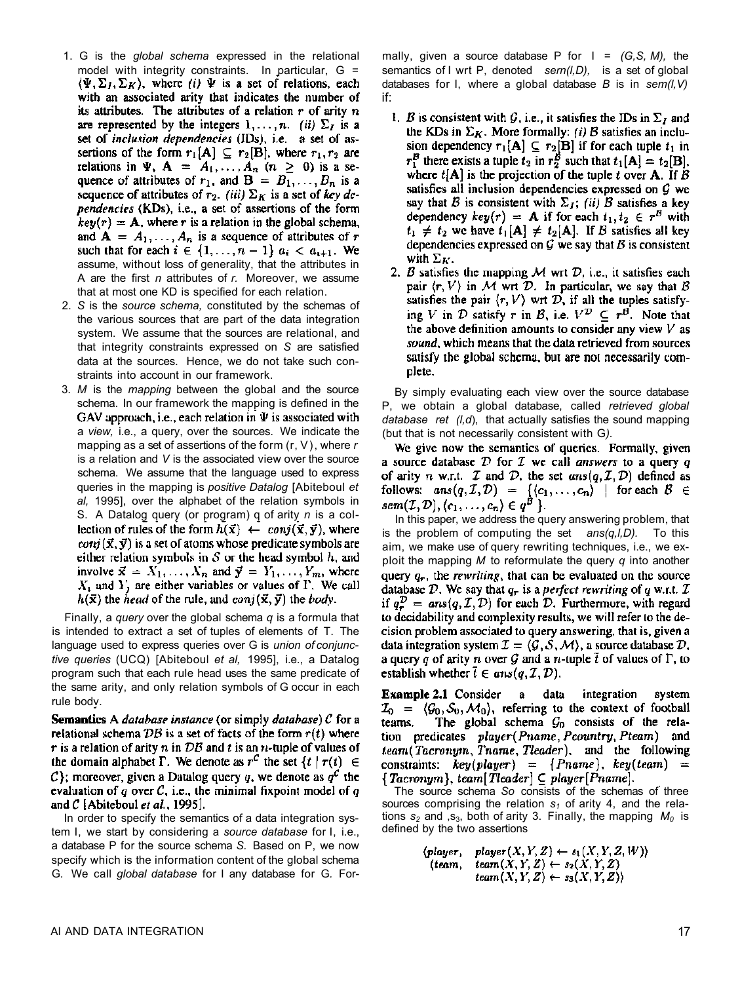- 1. G is the *global schema* expressed in the relational model with integrity constraints. In particular, G =  $\langle \Psi, \Sigma_I, \Sigma_K \rangle$ , where *(i)*  $\Psi$  is a set of relations, each with an associated arity that indicates the number of its attributes. The attributes of a relation  $r$  of arity  $n$ are represented by the integers  $1, \ldots, n$ . *(ii)*  $\Sigma_I$  is a set of inclusion dependencies (IDs), i.e. a set of assertions of the form  $r_1[A] \subseteq r_2[B]$ , where  $r_1, r_2$  are relations in  $\Psi$ ,  $\mathbf{A} = A_1, ..., A_n$   $(n \ge 0)$  is a sequence of attributes of  $r_1$ , and  $B = B_1, \ldots, B_n$  is a sequence of attributes of  $r_2$ . (iii)  $\Sigma_K$  is a set of key dependencies (KDs), i.e., a set of assertions of the form  $key(r) = A$ , where r is a relation in the global schema, and  $A = A_1, \ldots, A_n$  is a sequence of attributes of r such that for each  $i \in \{1, \ldots, n-1\}$   $a_i < a_{i+1}$ . We assume, without loss of generality, that the attributes in A are the first *n* attributes of *r.* Moreover, we assume that at most one KD is specified for each relation.
- 2. *S* is the *source schema,* constituted by the schemas of the various sources that are part of the data integration system. We assume that the sources are relational, and that integrity constraints expressed on *S* are satisfied data at the sources. Hence, we do not take such constraints into account in our framework.
- 3. *M* is the *mapping* between the global and the source schema. In our framework the mapping is defined in the GAV approach, i.e., each relation in  $\Psi$  is associated with a *view,* i.e., a query, over the sources. We indicate the mapping as a set of assertions of the form (r, V), where *r*  is a relation and *V* is the associated view over the source schema. We assume that the language used to express queries in the mapping is *positive Datalog* [Abiteboul *et al,* 1995], over the alphabet of the relation symbols in S. A Datalog query (or program) q of arity *n* is a collection of rules of the form  $h(\vec{x}) \leftarrow \text{conj}(\vec{x}, \vec{y})$ , where  $conj(\vec{x}, \vec{y})$  is a set of atoms whose predicate symbols are either relation symbols in  $S$  or the head symbol  $h$ , and involve  $\vec{x} = X_1, \ldots, X_n$  and  $\vec{y} = Y_1, \ldots, Y_m$ , where  $X<sub>1</sub>$  and Y, are either variables or values of  $\Gamma$ . We call  $h(\vec{x})$  the head of the rule, and conj $(\vec{x}, \vec{y})$  the body.

Finally, a *query* over the global schema *q* is a formula that is intended to extract a set of tuples of elements of T. The language used to express queries over G is *union of conjunctive queries* (UCQ) [Abiteboul *et al,* 1995], i.e., a Datalog program such that each rule head uses the same predicate of the same arity, and only relation symbols of G occur in each rule bodv.

**Semantics** A *database instance* (or simply *database*) C for a relational schema DB is a set of facts of the form  $r(t)$  where r is a relation of arity n in  $DB$  and t is an n-tuple of values of the domain alphabet  $\Gamma$ . We denote as  $r^C$  the set  $\{t \mid r(t) \in$ C}; moreover, given a Datalog query q, we denote as  $q^C$  the evaluation of q over  $C$ , i.e., the minimal fixpoint model of q and  $C$  [Abiteboul *et al.*, 1995].

In order to specify the semantics of a data integration system I, we start by considering a *source database* for I, i.e., a database P for the source schema *S.* Based on P, we now specify which is the information content of the global schema G*.* We call *global database* for I any database for G*.* For-

mally, given a source database P for I = *(G,S, M),* the semantics of I wrt P, denoted *sern(l,D),* is a set of global databases for I, where a global database *B* is in *sem(l,V)*  if:

- 1. B is consistent with G, i.e., it satisfies the IDs in  $\Sigma_I$  and the KDs in  $\Sigma_K$ . More formally: (i) B satisfies an inclusion dependency  $r_1[A] \subseteq r_2[B]$  if for each tuple  $t_1$  in  $r_1^B$  there exists a tuple  $t_2$  in  $r_2^B$  such that  $t_1[A] = t_2[B]$ , where  $t[A]$  is the projection of the tuple t over **A**. If B satisfies all inclusion dependencies expressed on  $G$  we say that B is consistent with  $\Sigma_I$ ; (ii) B satisfies a key dependency  $key(r) = A$  if for each  $t_1, t_2 \in r^B$  with  $t_1 \neq t_2$  we have  $t_1[A] \neq t_2[A]$ . If B satisfies all key dependencies expressed on  $G$  we say that  $B$  is consistent with  $\Sigma_K$ .
- 2. B satisfies the mapping  $M$  wrt  $D$ , i.e., it satisfies each pair  $\langle r, V \rangle$  in M wrt D. In particular, we say that B satisfies the pair  $\langle r, V \rangle$  wrt D, if all the tuples satisfying V in  $D$  satisfy r in B, i.e.  $V^D \subseteq r^B$ . Note that the above definition amounts to consider any view  $V$  as sound, which means that the data retrieved from sources satisfy the global schema, but are not necessarily complete.

By simply evaluating each view over the source database P, we obtain a global database, called *retrieved global database ret (l,d*), that actually satisfies the sound mapping (but that is not necessarily consistent with G*).* 

We give now the semantics of queries. Formally, given a source database  $D$  for  $T$  we call answers to a query q of arity *n* w.r.t. *T* and *D*, the set  $ans(q, I, D)$  defined as follows:  $ans(q, \mathcal{I}, \mathcal{D}) = \{ \langle c_1, \ldots, c_n \rangle \mid \text{for each } \mathcal{B} \in sem(\mathcal{I}, \mathcal{D}), \langle c_1, \ldots, c_n \rangle \in q^{\mathcal{B}} \}$ .

In this paper, we address the query answering problem, that is the problem of computing the set *ans(q,l,D).* To this aim, we make use of query rewriting techniques, i.e., we exploit the mapping *M* to reformulate the query *q* into another query  $q_r$ , the *rewriting*, that can be evaluated on the source database D. We say that  $q_r$  is a perfect rewriting of q w.r.t. T if  $q_r^D = ans(q, \mathcal{I}, \mathcal{D})$  for each  $\mathcal{D}$ . Furthermore, with regard to decidability and complexity results, we will refer to the decision problem associated to query answering, that is, given a data integration system  $\mathcal{I} = \langle \mathcal{G}, \mathcal{S}, \mathcal{M} \rangle$ , a source database  $\mathcal{D}$ , a query q of arity n over G and a n-tuple  $\bar{t}$  of values of  $\Gamma$ , to establish whether  $\bar{t} \in ans(q, \mathcal{I}, \mathcal{D}).$ 

**Example 2.1 Consider**  $\mathbf{a}$ data integration system  $\mathcal{I}_0 = \langle \mathcal{G}_0, \mathcal{S}_0, \mathcal{M}_0 \rangle$ , referring to the context of football The global schema  $G_0$  consists of the relateams. tion predicates player (Pname, Pcountry, Pteam) and team (Tacronym, Triame, Tleader), and the following constraints:  $key(player) = {Pname}, key(team) =$  ${Tacronym}$ , team[Tleader]  $\subseteq player[Parameter].$ 

The source schema *So* consists of the schemas of three sources comprising the relation *s1* of arity 4, and the relations  $s_2$  and ,s<sub>3</sub>, both of arity 3. Finally, the mapping  $M_0$  is defined by the two assertions

$$
\langle player, \space player(X, Y, Z) \leftarrow s_1(X, Y, Z, W) \rangle
$$
  
\n
$$
\langle team, \space team(X, Y, Z) \leftarrow s_2(X, Y, Z) \rangle
$$
  
\n
$$
team(X, Y, Z) \leftarrow s_3(X, Y, Z) \rangle
$$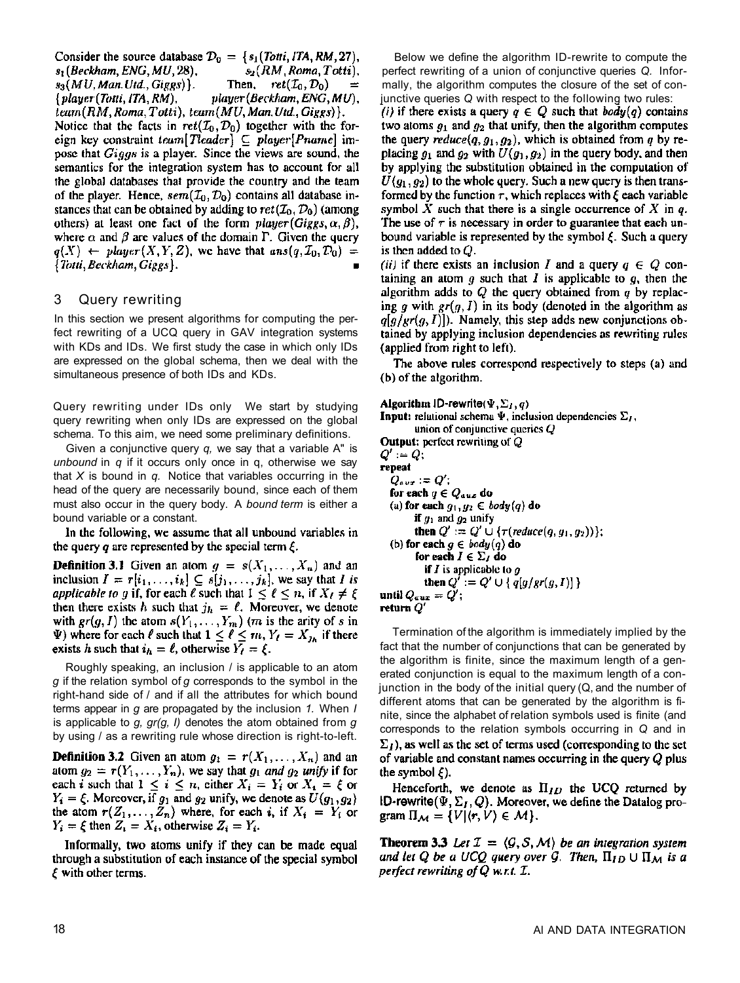Consider the source database  $\mathcal{D}_0 = \{s_1(Totti,ITA, RM, 27),$  $s_1$ (Beckham, ENG, MU, 28),  $s_2(RM, Roma, Totti)$ .  $s_3(MU, Man, Utd., Giggs)$ . Then,  $ret(\mathcal{I}_0, \mathcal{D}_0)$  ${player (Totti, ITA, RM),$  $player (Beckham, ENG, MU).$ team (RM, Roma, Totti), team (MU, Man. Utd., Giggs) }. Notice that the facts in  $ret(\mathcal{I}_0, \mathcal{D}_0)$  together with the foreign key constraint team [Tleader]  $\subseteq$  player [Pname] impose that *Giggs* is a player. Since the views are sound, the semantics for the integration system has to account for all the global databases that provide the country and the team of the player. Hence,  $sem(\mathcal{I}_0, \mathcal{D}_0)$  contains all database instances that can be obtained by adding to  $ret(\mathcal{I}_0, \mathcal{D}_0)$  (among others) at least one fact of the form  $player(Giggs, \alpha, \beta)$ , where  $\alpha$  and  $\beta$  are values of the domain  $\Gamma$ . Given the query  $q(X) \leftarrow player(X, Y, Z)$ , we have that  $ans(q, \mathcal{I}_0, \mathcal{D}_0)$  = {Totti, Beckham, Giggs}.

### 3 Query rewriting

In this section we present algorithms for computing the perfect rewriting of a UCQ query in GAV integration systems with KDs and IDs. We first study the case in which only IDs are expressed on the global schema, then we deal with the simultaneous presence of both IDs and KDs.

Query rewriting under IDs only We start by studying query rewriting when only IDs are expressed on the global schema. To this aim, we need some preliminary definitions.

Given a conjunctive query *q,* we say that a variable A" is *unbound* in *q* if it occurs only once in q, otherwise we say that *X* is bound in *q.* Notice that variables occurring in the head of the query are necessarily bound, since each of them must also occur in the query body. A *bound term* is either a bound variable or a constant.

In the following, we assume that all unbound variables in the query  $q$  are represented by the special term  $\xi$ .

**Definition 3.1** Given an atom  $g = s(X_1, \ldots, X_n)$  and an inclusion  $I = r[i_1, \ldots, i_k] \subseteq s[j_1, \ldots, j_k]$ , we say that I is applicable to g if, for each  $\ell$  such that  $1 \leq \ell \leq n$ , if  $X_{\ell} \neq \xi$ then there exists h such that  $j_h = \ell$ . Moreover, we denote with  $gr(g, I)$  the atom  $s(Y_1, \ldots, Y_m)$  (*m* is the arity of *s* in  $\Psi$ ) where for each  $\ell$  such that  $1 \leq \ell \leq m$ ,  $Y_{\ell} = X_{j_h}$  if there exists h such that  $i_h = \ell$ , otherwise  $Y_\ell = \ell$ .

Roughly speaking, an inclusion / is applicable to an atom *g* if the relation symbol of *g* corresponds to the symbol in the right-hand side of / and if all the attributes for which bound terms appear in *g* are propagated by the inclusion *1.* When *I*  is applicable to *g, gr(g, I)* denotes the atom obtained from *g*  by using / as a rewriting rule whose direction is right-to-left.

**Definition 3.2** Given an atom  $g_1 = r(X_1, \ldots, X_n)$  and an atom  $g_2 = r(Y_1, \ldots, Y_n)$ , we say that  $g_1$  and  $g_2$  unify if for each *i* such that  $1 \leq i \leq n$ , either  $X_i = Y_i$  or  $X_i = \xi$  or  $Y_i = \xi$ . Moreover, if  $g_1$  and  $g_2$  unify, we denote as  $U(g_1, g_2)$ the atom  $r(Z_1,...,Z_n)$  where, for each i, if  $X_i = Y_i$  or  $Y_i = \xi$  then  $Z_i = X_i$ , otherwise  $Z_i = Y_i$ .

Informally, two atoms unify if they can be made equal through a substitution of each instance of the special symbol  $\xi$  with other terms.

Below we define the algorithm ID-rewrite to compute the perfect rewriting of a union of conjunctive queries *Q.* Informally, the algorithm computes the closure of the set of conjunctive queries *Q* with respect to the following two rules:

(i) if there exists a query  $q \in Q$  such that  $body(q)$  contains two atoms  $g_1$  and  $g_2$  that unify, then the algorithm computes the query reduce(q,  $g_1$ ,  $g_2$ ), which is obtained from q by replacing  $g_1$  and  $g_2$  with  $U(g_1, g_2)$  in the query body, and then by applying the substitution obtained in the computation of  $U(g_1, g_2)$  to the whole query. Such a new query is then transformed by the function  $\tau$ , which replaces with  $\xi$  each variable symbol X such that there is a single occurrence of X in  $q$ . The use of  $\tau$  is necessary in order to guarantee that each unbound variable is represented by the symbol  $\xi$ . Such a query is then added to  $Q$ .

(ii) if there exists an inclusion I and a query  $q \in Q$  containing an atom  $g$  such that  $I$  is applicable to  $g$ , then the algorithm adds to  $Q$  the query obtained from  $q$  by replacing g with  $gr(g, I)$  in its body (denoted in the algorithm as  $q[g/\text{gr}(g, I)]$ ). Namely, this step adds new conjunctions obtained by applying inclusion dependencies as rewriting rules (applied from right to left).

The above rules correspond respectively to steps (a) and (b) of the algorithm.

Algorithm ID-rewrite( $\Psi$ ,  $\Sigma_I$ , q) **Input:** relational schema  $\Psi$ , inclusion dependencies  $\Sigma_I$ , union of conjunctive queries  $Q$ **Output:** perfect rewriting of  $Q$  $Q' := Q;$ repeat  $Q_{aux} := Q';$ for each  $q \in Q_{aux}$  do (a) for each  $g_1, g_2 \in body(q)$  do if  $g_1$  and  $g_2$  unify then  $Q' := Q' \cup {\tau(\text{reduce}(q, g_1, g_2))}$ ; (b) for each  $g \in body(q)$  do for each  $I \in \Sigma_I$  do **if** I is applicable to g then  $Q' := Q' \cup \{ q[g/gr(g,I)] \}$ until  $Q_{aux} = Q'$ ; return  $Q'$ 

Termination of the algorithm is immediately implied by the fact that the number of conjunctions that can be generated by the algorithm is finite, since the maximum length of a generated conjunction is equal to the maximum length of a conjunction in the body of the initial query (Q, and the number of different atoms that can be generated by the algorithm is finite, since the alphabet of relation symbols used is finite (and corresponds to the relation symbols occurring in *Q* and in  $\Sigma_I$ ), as well as the set of terms used (corresponding to the set of variable and constant names occurring in the query  $Q$  plus the symbol  $\xi$ ).

Henceforth, we denote as  $\Pi_{ID}$  the UCQ returned by ID-rewrite  $(\Psi, \Sigma_I, Q)$ . Moreover, we define the Datalog program  $\Pi_{\mathcal{M}} = \{V | (r, V) \in \mathcal{M}\}.$ 

**Theorem 3.3** Let  $\mathcal{I} = \langle \mathcal{G}, \mathcal{S}, \mathcal{M} \rangle$  be an integration system and let Q be a UCQ query over G. Then,  $\Pi_{ID} \cup \Pi_M$  is a perfect rewriting of Q w.r.t. I.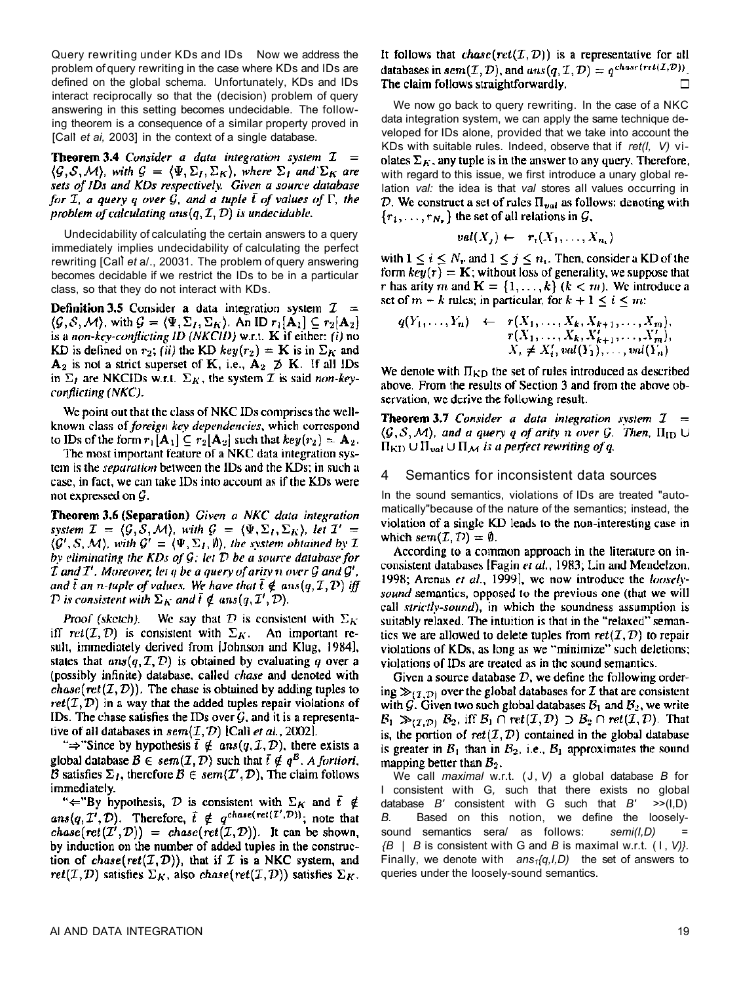Query rewriting under KDs and IDs Now we address the problem of query rewriting in the case where KDs and IDs are defined on the global schema. Unfortunately, KDs and IDs interact reciprocally so that the (decision) problem of query answering in this setting becomes undecidable. The following theorem is a consequence of a similar property proved in [Cal] et ai, 2003] in the context of a single database.

**Theorem 3.4** Consider a data integration system  $I =$  $\langle \mathcal{G}, \mathcal{S}, \mathcal{M} \rangle$ , with  $\mathcal{G} = \langle \Psi, \Sigma_I, \Sigma_K \rangle$ , where  $\Sigma_I$  and  $\Sigma_K$  are sets of IDs and KDs respectively. Given a source database for  $\mathcal I$ , a query q over  $\mathcal G$ , and a tuple  $\overline{t}$  of values of  $\Gamma$ , the problem of calculating  $ans(q, \mathcal{I}, \mathcal{D})$  is undecidable.

Undecidability of calculating the certain answers to a query immediately implies undecidability of calculating the perfect rewriting [Call *et* a/., 20031. The problem of query answering becomes decidable if we restrict the IDs to be in a particular class, so that they do not interact with KDs.

**Definition 3.5** Consider a data integration system  $\mathcal{I} =$  $(\mathcal{G}, \mathcal{S}, \mathcal{M})$ , with  $\mathcal{G} = (\Psi, \Sigma_I, \Sigma_K)$ . An ID  $r_1[\mathbf{A}_1] \subseteq r_2[\mathbf{A}_2]$ is a non-key-conflicting ID (NKCID) w.r.t.  $K$  if either: (i) no KD is defined on  $r_2$ ; (ii) the KD  $key(r_2) = K$  is in  $\Sigma_K$  and  $A_2$  is not a strict superset of K, i.e.,  $A_2 \not\supset K$ . If all IDs in  $\Sigma_I$  are NKCIDs w.r.t.  $\Sigma_K$ , the system *I* is said non-keyconflicting (NKC).

We point out that the class of NKC IDs comprises the wellknown class of *foreign key dependencies*, which correspond to IDs of the form  $r_1[A_1] \subseteq r_2[A_2]$  such that  $key(r_2) = A_2$ .

The most important feature of a NKC data integration system is the *separation* between the IDs and the KDs; in such a case, in fact, we can take IDs into account as if the KDs were not expressed on  $\mathcal{G}$ .

Theorem 3.6 (Separation) Given a NKC data integration system  $\mathcal{I} = (\mathcal{G}, \mathcal{S}, \mathcal{M})$ , with  $\mathcal{G} = (\Psi, \Sigma_I, \Sigma_K)$ , let  $\mathcal{I}' =$  $\langle G', S, M \rangle$ , with  $G' = \langle \Psi, \Sigma_I, \emptyset \rangle$ , the system obtained by I by eliminating the KDs of  $G$ ; let  $D$  be a source database for  $\mathcal I$  and  $\mathcal I'$ . Moreover, let  $q$  be a query of arity n over  $\mathcal G$  and  $\mathcal G'$ , and  $\bar{t}$  an n-tuple of values. We have that  $\bar{t} \notin ans(q, \mathcal{I}, \mathcal{D})$  iff  $\mathcal D$  is consistent with  $\Sigma_K$  and  $\overline{t} \notin ans(q,\mathcal I',\mathcal D)$ .

Proof (sketch). We say that D is consistent with  $\Sigma_K$ iff  $ret(\mathcal{I}, \mathcal{D})$  is consistent with  $\Sigma_K$ . An important result, immediately derived from [Johnson and Klug, 1984], states that  $ans(q, \mathcal{I}, \mathcal{D})$  is obtained by evaluating q over a (possibly infinite) database, called *chase* and denoted with *chase*( $ret(\mathcal{I}, \mathcal{D})$ ). The chase is obtained by adding tuples to  $ret(\mathcal{I}, \mathcal{D})$  in a way that the added tuples repair violations of IDs. The chase satisfies the IDs over  $G$ , and it is a representative of all databases in  $sem(I, D)$  [Cali et al., 2002].

" $\Rightarrow$ "Since by hypothesis  $\bar{t} \notin ans(q, \mathcal{I}, \mathcal{D})$ , there exists a global database  $B \in sem(\mathcal{I}, \mathcal{D})$  such that  $\bar{t} \notin q^B$ . A fortiori,  $\overline{B}$  satisfies  $\Sigma_I$ , therefore  $\overline{B} \in sem(\mathcal{I}', \mathcal{D})$ , The claim follows immediately.

"="By hypothesis, D is consistent with  $\Sigma_K$  and  $\bar{t} \notin ans(q, \mathcal{I}', \mathcal{D})$ . Therefore,  $\bar{t} \notin q^{chase(ret(\mathcal{I}', \mathcal{D}))}$ ; note that chase(ret( $I^i$ , D)) = chase(ret( $I$ , D)). It can be shown, by induction on the number of added tuples in the construction of chase(ret( $I, D$ )), that if  $I$  is a NKC system, and ret( $I, D$ ) satisfies  $\Sigma_K$ , also chase(ret( $I, D$ )) satisfies  $\Sigma_K$ .

It follows that *chase*( $ret(\mathcal{I}, \mathcal{D})$ ) is a representative for all databases in sem  $(\mathcal{I}, \mathcal{D})$ , and  $ans(q, \mathcal{I}, \mathcal{D}) = q^{chasc(ret(\mathcal{I}, \mathcal{D}))}$ . The claim follows straightforwardly.  $\Box$ 

We now go back to query rewriting. In the case of a NKC data integration system, we can apply the same technique developed for IDs alone, provided that we take into account the KDs with suitable rules. Indeed, observe that if *ret(I, V)* violates  $\Sigma_K$ , any tuple is in the answer to any query. Therefore, with regard to this issue, we first introduce a unary global relation *val:* the idea is that *val* stores all values occurring in D. We construct a set of rules  $\Pi_{val}$  as follows: denoting with  $\{r_1, \ldots, r_{N_n}\}\$  the set of all relations in  $\mathcal{G}_n$ ,

$$
val(X_j) \leftarrow r_i(X_1, \ldots, X_n)
$$

with  $1 \le i \le N_r$  and  $1 \le j \le n_1$ . Then, consider a KD of the form  $key(r) = K$ ; without loss of generality, we suppose that r has arity m and  $\mathbf{K} = \{1, ..., k\}$   $(k < m)$ . We introduce a set of  $m - k$  rules; in particular, for  $k + 1 \le i \le m$ :

$$
q(Y_1, ..., Y_n) \leftarrow r(X_1, ..., X_k, X_{k+1}, ..., X_m),
$$
  
\n
$$
r(X_1, ..., X_k, X'_{k+1}, ..., X'_m),
$$
  
\n
$$
X_i \neq X'_i, val(Y_1), ..., val(Y_n)
$$

We denote with  $\Pi_{KD}$  the set of rules introduced as described above. From the results of Section 3 and from the above observation, we derive the following result.

**Theorem 3.7** Consider a data integration system  $I =$  $\langle \mathcal{G}, \mathcal{S}, \mathcal{M} \rangle$ , and a query g of arity n over  $\mathcal{G}$ . Then,  $\Pi_{\text{ID}} \cup$  $\Pi_{\text{KD}} \cup \Pi_{val} \cup \Pi_{\mathcal{M}}$  is a perfect rewriting of q.

#### 4 Semantics for inconsistent data sources

In the sound semantics, violations of IDs are treated "automatically"because of the nature of the semantics; instead, the violation of a single KD leads to the non-interesting case in which  $sem(\mathcal{I}, \mathcal{D}) = \emptyset$ .

According to a common approach in the literature on inconsistent databases [Fagin et al., 1983; Lin and Mendelzon, 1998; Arenas et al., 1999], we now introduce the looselysound semantics, opposed to the previous one (that we will call strictly-sound), in which the soundness assumption is suitably relaxed. The intuition is that in the "relaxed" semantics we are allowed to delete tuples from  $ret(I, D)$  to repair violations of KDs, as long as we "minimize" such deletions; violations of IDs are treated as in the sound semantics.

Given a source database  $D$ , we define the following ordering  $\gg_{(I,D)}$  over the global databases for *I* that are consistent with  $\mathcal{G}$ . Given two such global databases  $\mathcal{B}_1$  and  $\mathcal{B}_2$ , we write  $B_1 \gg_{(\mathcal{I}, \mathcal{D})} B_2$ , iff  $B_1 \cap ret(\mathcal{I}, \mathcal{D}) \supset B_2 \cap ret(\mathcal{I}, \mathcal{D})$ . That is, the portion of  $ret(\mathcal{I}, \mathcal{D})$  contained in the global database is greater in  $B_1$  than in  $B_2$ , i.e.,  $B_1$  approximates the sound mapping better than  $B_2$ .

We call *maximal* w.r.t. (J , *V)* a global database *B* for I consistent with G*,* such that there exists no global database *B'* consistent with G such that *B' >*>(I,D) *B.* Based on this notion, we define the looselysound semantics sera/ as follows: semi(I,D) *{B* | *B* is consistent with G and *B* is maximal w.r.t. (I , *V)}.*  Finally, we denote with *ans1{q,I,D)* the set of answers to queries under the loosely-sound semantics.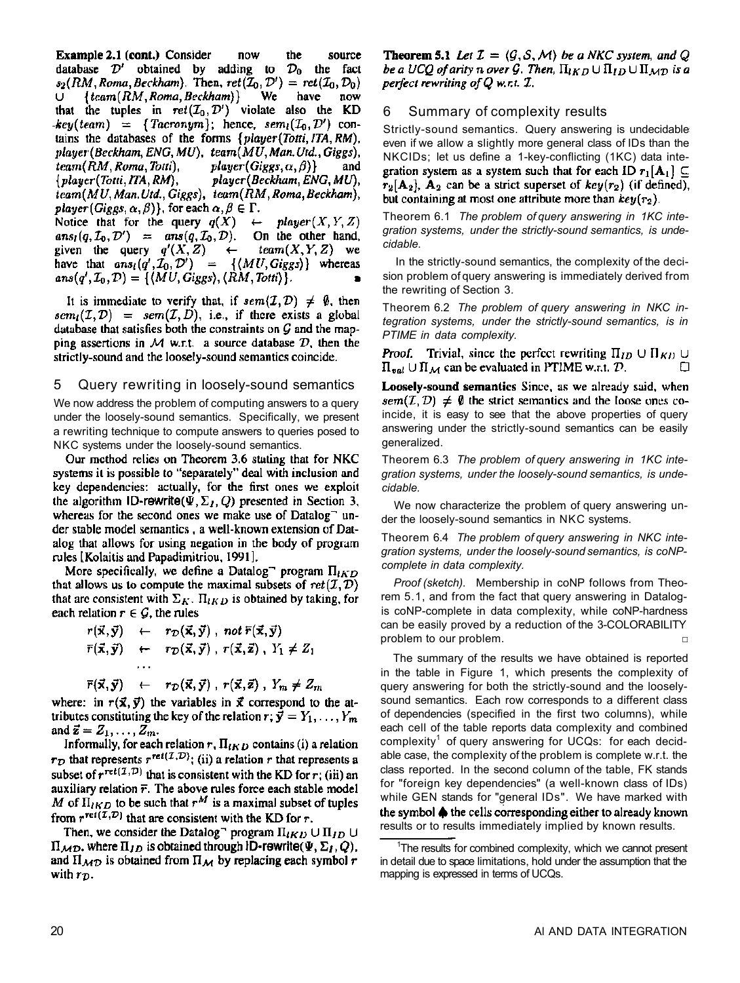Example 2.1 (cont.) Consider now the source database  $\mathcal{D}'$  obtained by adding to  $\mathcal{D}_0$  the fact  $s_2(RM, Roma, Beckham)$ . Then,  $ret(\mathcal{I}_0, \mathcal{D}') = ret(\mathcal{I}_0, \mathcal{D}_0)$  $\{team(RM, Roma, Beckham)\}$ We have U. now that the tuples in  $ret(\mathcal{I}_0, \mathcal{D}')$  violate also the KD  $key(team) = {Tacronym}$ ; hence,  $sem<sub>l</sub>(L<sub>0</sub>, D')$  contains the databases of the forms {player(Totti, ITA, RM), player (Beckham, ENG, MU), team (MU, Man. Utd., Giggs),  $team(RM, Roma, Totti),$  $player(Giggs, \alpha, \beta)$ and  $\{player(Totti, ITA, RM),\}$ player (Beckham, ENG, MU), team(MU, Man. Utd., Giggs), team(RM, Roma, Beckham), player (Giggs,  $\alpha$ ,  $\beta$ ), for each  $\alpha$ ,  $\beta \in \Gamma$ . Notice that for the query  $q(X)$  $player(X, Y, Z)$  $\leftarrow$ 

 $ans_l(q, I_0, \mathcal{D}') = ans(q, I_0, \mathcal{D})$ . On the other hand,<br>given the query  $q'(X, Z) \leftarrow \text{team}(X, Y, Z)$  we given the query  $q'(X,Z) \leftarrow \text{team}(X,Y,Z)$  we<br>have that  $ans_i(q', \mathcal{I}_0, \mathcal{D}') = \{ \langle MU, Giggs \rangle \}$  whereas  $ans(q', \mathcal{I}_0, \mathcal{D}) = \{ \langle MU, Giggs \rangle, \langle RM, Totti \rangle \}.$ 

It is immediate to verify that, if  $sem(\mathcal{I}, \mathcal{D}) \neq \emptyset$ , then  $sem<sub>l</sub>(I, D) = sem(I, D)$ , i.e., if there exists a global database that satisfies both the constraints on  $\mathcal G$  and the mapping assertions in M w.r.t. a source database  $D$ , then the strictly-sound and the loosely-sound semantics coincide.

#### 5 Query rewriting in loosely-sound semantics

We now address the problem of computing answers to a query under the loosely-sound semantics. Specifically, we present a rewriting technique to compute answers to queries posed to NKC systems under the loosely-sound semantics.

Our method relies on Theorem 3.6 stating that for NKC systems it is possible to "separately" deal with inclusion and key dependencies: actually, for the first ones we exploit the algorithm ID-rewrite( $\Psi$ ,  $\Sigma_I$ , Q) presented in Section 3, whereas for the second ones we make use of Datalog<sup>-</sup> under stable model semantics, a well-known extension of Datalog that allows for using negation in the body of program rules [Kolaitis and Papadimitriou, 1991].

More specifically, we define a Datalog<sup>-</sup> program  $\Pi_{IKD}$ that allows us to compute the maximal subsets of  $ret(\mathcal{I}, \mathcal{D})$ that are consistent with  $\Sigma_K$ .  $\Pi_{IKD}$  is obtained by taking, for each relation  $r \in \mathcal{G}$ , the rules

$$
r(\vec{x}, \vec{y}) \leftarrow r_{\mathcal{D}}(\vec{x}, \vec{y}), \text{ not } \overline{r}(\vec{x}, \vec{y})
$$
  

$$
\overline{r}(\vec{x}, \vec{y}) \leftarrow r_{\mathcal{D}}(\vec{x}, \vec{y}), r(\vec{x}, \vec{z}), Y_1 \neq Z_1
$$

 $\bar{r}(\vec{x}, \vec{y}) \leftarrow r_{\mathcal{D}}(\vec{x}, \vec{y}), r(\vec{x}, \vec{z}), Y_m \neq Z_m$ where: in  $r(\vec{x}, \vec{y})$  the variables in  $\vec{x}$  correspond to the at-

tributes constituting the key of the relation  $r; \vec{y} = Y_1, \dots, Y_m$ and  $\vec{z} = Z_1, \ldots, Z_m$ . Informally, for each relation  $r$ ,  $\Pi_{IKD}$  contains (i) a relation

 $r_{\mathcal{D}}$  that represents  $r^{\text{ret}(\mathcal{I}, \mathcal{D})}$ ; (ii) a relation r that represents a subset of  $r^{ret(I, \mathcal{D})}$  that is consistent with the KD for  $r$ ; (iii) an auxiliary relation  $\bar{r}$ . The above rules force each stable model M of  $\Pi_{lKD}$  to be such that  $r^M$  is a maximal subset of tuples from  $r^{\text{ref}(I,D)}$  that are consistent with the KD for r.

Then, we consider the Datalog program  $\Pi_{lKD} \cup \Pi_{ID} \cup$  $\Pi_{MD}$ , where  $\Pi_{ID}$  is obtained through ID-rowrite( $\Psi$ ,  $\Sigma_I$ ,  $Q$ ), and  $\Pi_{\mathcal{M}\mathcal{D}}$  is obtained from  $\Pi_{\mathcal{M}}$  by replacing each symbol r with  $r_{\mathcal{D}}$ .

**Theorem 5.1** Let  $\mathcal{I} = (\mathcal{G}, \mathcal{S}, \mathcal{M})$  be a NKC system, and Q be a UCQ of arity n over G. Then,  $\Pi_{lKD} \cup \Pi_{ID} \cup \Pi_{MD}$  is a perfect rewriting of  $Q$  w.r.t.  $I.$ 

#### 6 Summary of complexity results

Strictly-sound semantics. Query answering is undecidable even if we allow a slightly more general class of IDs than the NKCIDs; let us define a 1-key-conflicting (1KC) data integration system as a system such that for each ID  $r_1[A_1] \subseteq$  $r_2[A_2]$ ,  $A_2$  can be a strict superset of  $key(r_2)$  (if defined), but containing at most one attribute more than  $key(r_2)$ .

Theorem 6.1 *The problem of query answering in 1KC integration systems, under the strictly-sound semantics, is undecidable.* 

In the strictly-sound semantics, the complexity of the decision problem of query answering is immediately derived from the rewriting of Section 3.

Theorem 6.2 *The problem of query answering in NKC integration systems, under the strictly-sound semantics, is in PTIME in data complexity.* 

**Proof.** Trivial, since the perfect rewriting  $\Pi_{ID} \cup \Pi_{KD} \cup$  $\Pi_{val} \cup \Pi_{\mathcal{M}}$  can be evaluated in PTIME w.r.t.  $\mathcal{D}_{z}$ . n

Loosely-sound semantics Since, as we already said, when  $sem(\mathcal{I}, \mathcal{D}) \neq \emptyset$  the strict semantics and the loose ones coincide, it is easy to see that the above properties of query answering under the strictly-sound semantics can be easily generalized.

Theorem 6.3 *The problem of query answering in 1KC integration systems, under the loosely-sound semantics, is undecidable.* 

We now characterize the problem of query answering under the loosely-sound semantics in NKC systems.

Theorem 6.4 *The problem of query answering in NKC integration systems, under the loosely-sound semantics, is coNPcomplete in data complexity.* 

*Proof (sketch).* Membership in coNP follows from Theorem 5.1, and from the fact that query answering in Datalogis coNP-complete in data complexity, while coNP-hardness can be easily proved by a reduction of the 3-COLORABILITY problem to our problem.

The summary of the results we have obtained is reported in the table in Figure 1, which presents the complexity of query answering for both the strictly-sound and the looselysound semantics. Each row corresponds to a different class of dependencies (specified in the first two columns), while each cell of the table reports data complexity and combined complexity<sup>1</sup> of query answering for UCQs: for each decidable case, the complexity of the problem is complete w.r.t. the class reported. In the second column of the table, FK stands for "foreign key dependencies" (a well-known class of IDs) while GEN stands for "general IDs". We have marked with the symbol  $\spadesuit$  the cells corresponding either to already known results or to results immediately implied by known results.

<sup>&</sup>lt;sup>1</sup>The results for combined complexity, which we cannot present in detail due to space limitations, hold under the assumption that the mapping is expressed in terms of UCQs.